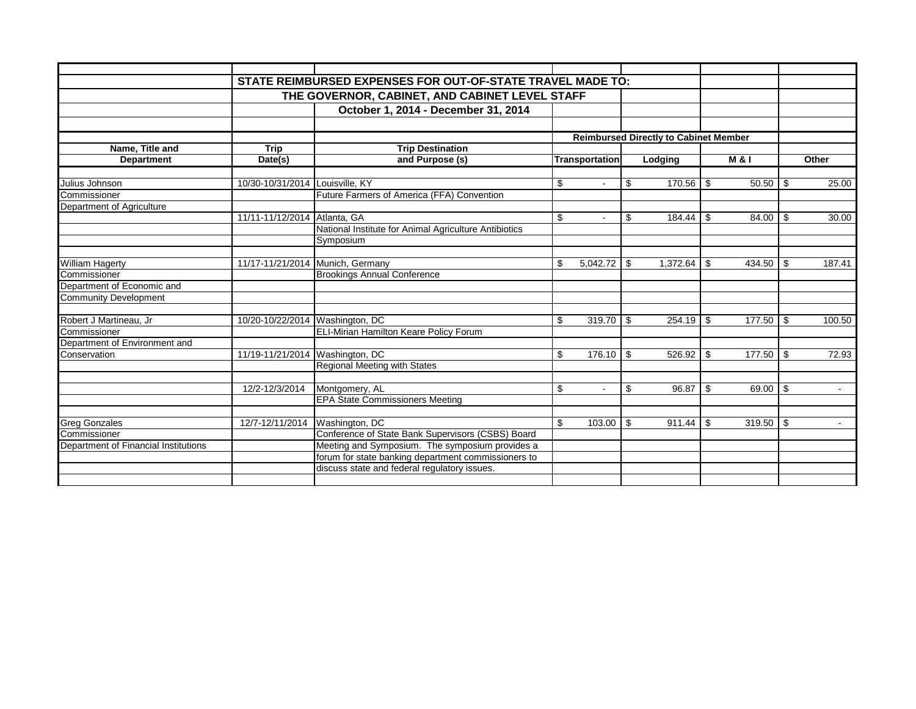|                                      |                                 | STATE REIMBURSED EXPENSES FOR OUT-OF-STATE TRAVEL MADE TO: |                |          |         |          |                                              |                  |     |        |
|--------------------------------------|---------------------------------|------------------------------------------------------------|----------------|----------|---------|----------|----------------------------------------------|------------------|-----|--------|
|                                      |                                 | THE GOVERNOR, CABINET, AND CABINET LEVEL STAFF             |                |          |         |          |                                              |                  |     |        |
|                                      |                                 | October 1, 2014 - December 31, 2014                        |                |          |         |          |                                              |                  |     |        |
|                                      |                                 |                                                            |                |          |         |          |                                              |                  |     |        |
|                                      |                                 |                                                            |                |          |         |          | <b>Reimbursed Directly to Cabinet Member</b> |                  |     |        |
| Name, Title and                      | <b>Trip</b>                     | <b>Trip Destination</b>                                    |                |          |         |          |                                              |                  |     |        |
| <b>Department</b>                    | Date(s)                         | and Purpose (s)                                            | Transportation |          | Lodging |          |                                              | <b>M &amp; I</b> |     | Other  |
|                                      |                                 |                                                            |                |          |         |          |                                              |                  |     |        |
| Julius Johnson                       | 10/30-10/31/2014 Louisville, KY |                                                            | \$             | $\sim$   | \$      | 170.56   | -\$                                          |                  |     | 25.00  |
| Commissioner                         |                                 | Future Farmers of America (FFA) Convention                 |                |          |         |          |                                              |                  |     |        |
| Department of Agriculture            |                                 |                                                            |                |          |         |          |                                              |                  |     |        |
|                                      | 11/11-11/12/2014 Atlanta, GA    |                                                            | \$             | $\sim$   | \$      | 184.44   | -\$                                          | 84.00            | -\$ | 30.00  |
|                                      |                                 | National Institute for Animal Agriculture Antibiotics      |                |          |         |          |                                              |                  |     |        |
|                                      |                                 | Symposium                                                  |                |          |         |          |                                              |                  |     |        |
|                                      |                                 |                                                            |                |          |         |          |                                              |                  |     |        |
| <b>William Hagerty</b>               |                                 | 11/17-11/21/2014 Munich, Germany                           | \$             | 5.042.72 | -\$     | 1,372.64 | \$                                           | 434.50           | \$  | 187.41 |
| Commissioner                         |                                 | <b>Brookings Annual Conference</b>                         |                |          |         |          |                                              |                  |     |        |
| Department of Economic and           |                                 |                                                            |                |          |         |          |                                              |                  |     |        |
| Community Development                |                                 |                                                            |                |          |         |          |                                              |                  |     |        |
|                                      |                                 |                                                            |                |          |         |          |                                              |                  |     |        |
| Robert J Martineau, Jr               | 10/20-10/22/2014 Washington, DC |                                                            | \$             | 319.70   | -\$     | 254.19   | -\$                                          | 177.50           | \$  | 100.50 |
| Commissioner                         |                                 | ELI-Mirian Hamilton Keare Policy Forum                     |                |          |         |          |                                              |                  |     |        |
| Department of Environment and        |                                 |                                                            |                |          |         |          |                                              |                  |     |        |
| Conservation                         | 11/19-11/21/2014 Washington, DC |                                                            | \$             | 176.10   | -\$     | 526.92   | -S                                           | 177.50           | \$  | 72.93  |
|                                      |                                 | <b>Regional Meeting with States</b>                        |                |          |         |          |                                              |                  |     |        |
|                                      |                                 |                                                            |                |          |         |          |                                              |                  |     |        |
|                                      | 12/2-12/3/2014                  | Montgomery, AL                                             | \$             | $\sim$   | \$      | 96.87    | -\$                                          | 69.00            | \$  | $\sim$ |
|                                      |                                 | <b>EPA State Commissioners Meeting</b>                     |                |          |         |          |                                              |                  |     |        |
|                                      |                                 |                                                            |                |          |         |          |                                              |                  |     |        |
| <b>Greg Gonzales</b>                 | 12/7-12/11/2014 Washington, DC  |                                                            | \$             | 103.00   | -\$     | 911.44   | -\$                                          | 319.50           | \$  | $\sim$ |
| Commissioner                         |                                 | Conference of State Bank Supervisors (CSBS) Board          |                |          |         |          |                                              |                  |     |        |
| Department of Financial Institutions |                                 | Meeting and Symposium. The symposium provides a            |                |          |         |          |                                              |                  |     |        |
|                                      |                                 | forum for state banking department commissioners to        |                |          |         |          |                                              |                  |     |        |
|                                      |                                 | discuss state and federal regulatory issues.               |                |          |         |          |                                              |                  |     |        |
|                                      |                                 |                                                            |                |          |         |          |                                              |                  |     |        |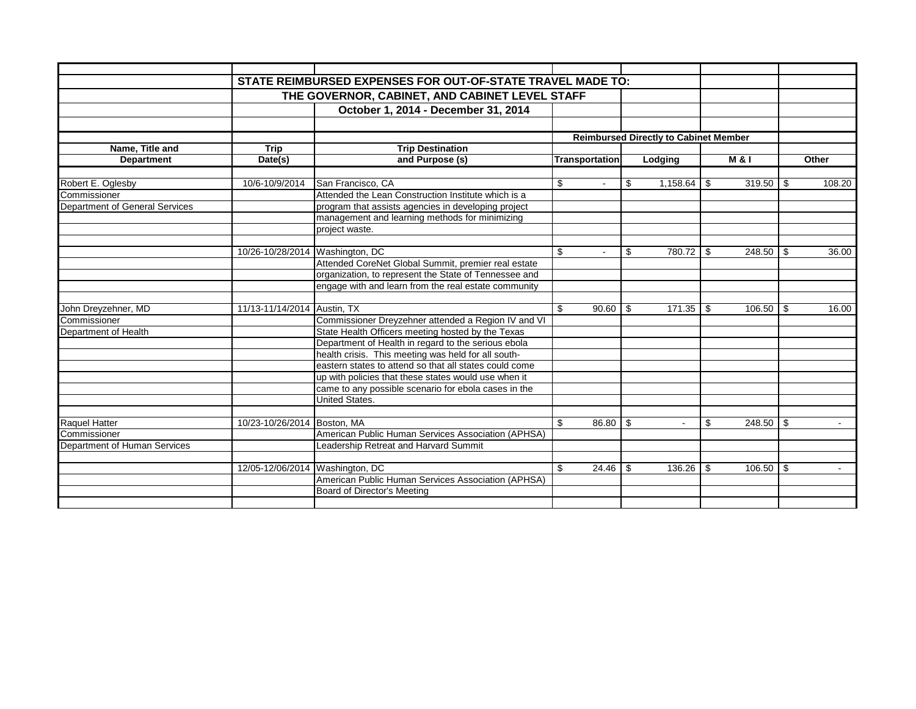|                                |                                 | STATE REIMBURSED EXPENSES FOR OUT-OF-STATE TRAVEL MADE TO: |                                              |                |         |          |      |                |     |                             |  |
|--------------------------------|---------------------------------|------------------------------------------------------------|----------------------------------------------|----------------|---------|----------|------|----------------|-----|-----------------------------|--|
|                                |                                 | THE GOVERNOR, CABINET, AND CABINET LEVEL STAFF             |                                              |                |         |          |      |                |     |                             |  |
|                                |                                 |                                                            |                                              |                |         |          |      |                |     |                             |  |
|                                |                                 | October 1, 2014 - December 31, 2014                        |                                              |                |         |          |      |                |     |                             |  |
|                                |                                 |                                                            |                                              |                |         |          |      |                |     |                             |  |
|                                |                                 |                                                            | <b>Reimbursed Directly to Cabinet Member</b> |                |         |          |      |                |     |                             |  |
| Name, Title and                | <b>Trip</b>                     | <b>Trip Destination</b>                                    |                                              |                |         |          |      |                |     |                             |  |
| <b>Department</b>              | Date(s)                         | and Purpose (s)                                            |                                              | Transportation | Lodging |          |      | <b>M&amp;I</b> |     | Other                       |  |
|                                |                                 |                                                            |                                              |                |         |          |      |                |     |                             |  |
| Robert E. Oglesby              | 10/6-10/9/2014                  | San Francisco, CA                                          | \$                                           | $\sim$         | \$      | 1,158.64 | - \$ | $319.50$ \\$   |     | 108.20                      |  |
| Commissioner                   |                                 | Attended the Lean Construction Institute which is a        |                                              |                |         |          |      |                |     |                             |  |
| Department of General Services |                                 | program that assists agencies in developing project        |                                              |                |         |          |      |                |     |                             |  |
|                                |                                 | management and learning methods for minimizing             |                                              |                |         |          |      |                |     |                             |  |
|                                |                                 | project waste.                                             |                                              |                |         |          |      |                |     |                             |  |
|                                |                                 |                                                            |                                              |                |         |          |      |                |     |                             |  |
|                                | 10/26-10/28/2014 Washington, DC |                                                            | \$                                           |                | \$      | 780.72   | - \$ | 248.50         | -\$ | 36.00                       |  |
|                                |                                 | Attended CoreNet Global Summit, premier real estate        |                                              |                |         |          |      |                |     |                             |  |
|                                |                                 | organization, to represent the State of Tennessee and      |                                              |                |         |          |      |                |     |                             |  |
|                                |                                 | engage with and learn from the real estate community       |                                              |                |         |          |      |                |     |                             |  |
|                                |                                 |                                                            |                                              |                |         |          |      |                |     |                             |  |
| John Dreyzehner, MD            | 11/13-11/14/2014 Austin, TX     |                                                            |                                              | 90.60          | l \$    | 171.35   | - \$ |                |     | 16.00                       |  |
| Commissioner                   |                                 | Commissioner Dreyzehner attended a Region IV and VI        |                                              |                |         |          |      |                |     |                             |  |
| Department of Health           |                                 | State Health Officers meeting hosted by the Texas          |                                              |                |         |          |      |                |     |                             |  |
|                                |                                 | Department of Health in regard to the serious ebola        |                                              |                |         |          |      |                |     |                             |  |
|                                |                                 | health crisis. This meeting was held for all south-        |                                              |                |         |          |      |                |     |                             |  |
|                                |                                 | eastern states to attend so that all states could come     |                                              |                |         |          |      |                |     |                             |  |
|                                |                                 | up with policies that these states would use when it       |                                              |                |         |          |      |                |     |                             |  |
|                                |                                 | came to any possible scenario for ebola cases in the       |                                              |                |         |          |      |                |     |                             |  |
|                                |                                 | <b>United States.</b>                                      |                                              |                |         |          |      |                |     |                             |  |
|                                |                                 |                                                            |                                              |                |         |          |      |                |     |                             |  |
| Raquel Hatter                  | 10/23-10/26/2014 Boston, MA     |                                                            | \$                                           | 86.80          | -\$     | $\sim$   | \$   |                |     | $\sim$                      |  |
| Commissioner                   |                                 | American Public Human Services Association (APHSA)         |                                              |                |         |          |      |                |     |                             |  |
| Department of Human Services   |                                 | Leadership Retreat and Harvard Summit                      |                                              |                |         |          |      |                |     |                             |  |
|                                |                                 |                                                            |                                              |                |         |          |      |                |     |                             |  |
|                                | 12/05-12/06/2014 Washington, DC |                                                            | \$.                                          | 24.46          | -\$     | 136.26   | - \$ | $106.50$ \$    |     | $\mathcal{L}_{\mathcal{A}}$ |  |
|                                |                                 | American Public Human Services Association (APHSA)         |                                              |                |         |          |      |                |     |                             |  |
|                                |                                 | Board of Director's Meeting                                |                                              |                |         |          |      |                |     |                             |  |
|                                |                                 |                                                            |                                              |                |         |          |      |                |     |                             |  |